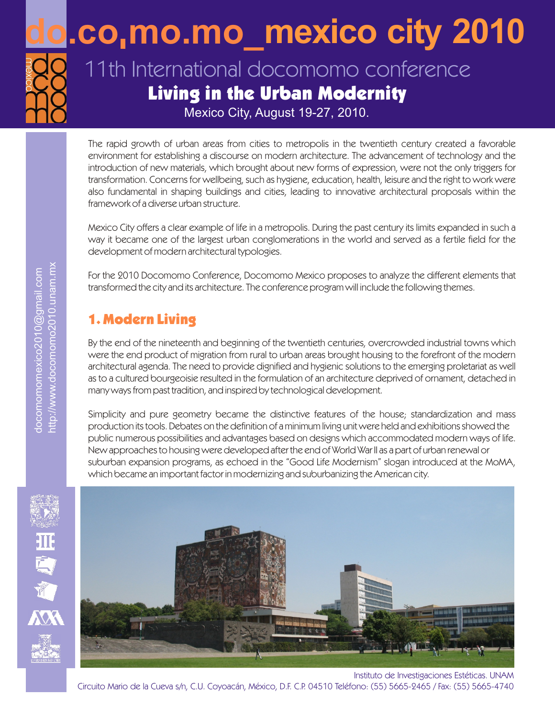

## **mexico city 2010 do.co mo.mo\_**

## 11th International docomomo conference Living in the Urban Modernity

Mexico City, August 19-27, 2010.

The rapid growth of urban areas from cities to metropolis in the twentieth century created a favorable environment for establishing a discourse on modern architecture. The advancement of technology and the introduction of new materials, which brought about new forms of expression, were not the only triggers for transformation. Concerns for wellbeing, such as hygiene, education, health, leisure and the right to work were also fundamental in shaping buildings and cities, leading to innovative architectural proposals within the framework of a diverse urban structure.

Mexico City offers a clear example of life in a metropolis. During the past century its limits expanded in such a way it became one of the largest urban conglomerations in the world and served as a fertile field for the development of modern architectural typologies.

For the 2010 Docomomo Conference, Docomomo Mexico proposes to analyze the different elements that transformed the city and its architecture. The conference program will include the following themes.

## 1. Modern Living

By the end of the nineteenth and beginning of the twentieth centuries, overcrowded industrial towns which were the end product of migration from rural to urban areas brought housing to the forefront of the modern architectural agenda. The need to provide dignified and hygienic solutions to the emerging proletariat as well as to a cultured bourgeoisie resulted in the formulation of an architecture deprived of ornament, detached in many ways from past tradition, and inspired by technological development.

Simplicity and pure geometry became the distinctive features of the house; standardization and mass production its tools. Debates on the definition of a minimum living unit were held and exhibitions showed the public numerous possibilities and advantages based on designs which accommodated modern ways of life. New approaches to housing were developed after the end of World War II as a part of urban renewal or suburban expansion programs, as echoed in the "Good Life Modernism" slogan introduced at the MoMA, which became an important factor in modernizing and suburbanizing the American city.



Instituto de Investigaciones Estéticas. UNAM Circuito Mario de la Cueva s/n, C.U. Coyoacán, México, D.F. C.P. 04510 Teléfono: (55) 5665-2465 / Fax: (55) 5665-4740

班真道人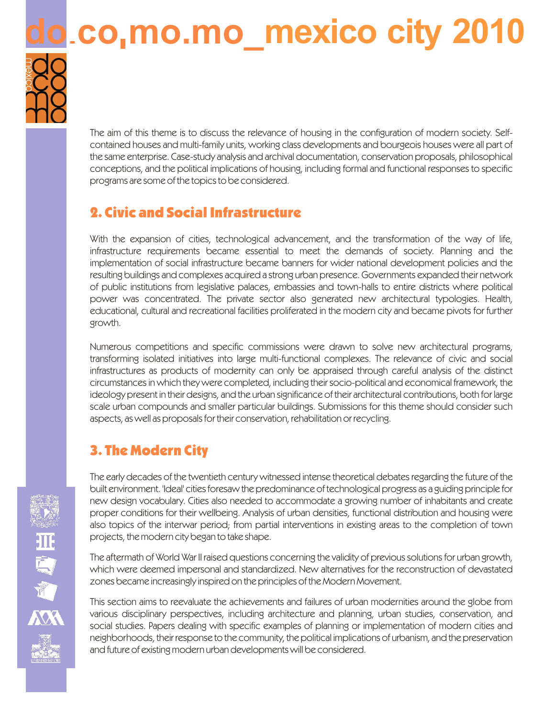# **d.co,mo.mo\_mexico city 2010**



The aim of this theme is to discuss the relevance of housing in the configuration of modern society. Selfcontained houses and multi-family units, working class developments and bourgeois houses were all part of the same enterprise. Case-study analysis and archival documentation, conservation proposals, philosophical conceptions, and the political implications of housing, including formal and functional responses to specific programs are some of the topics to be considered.

## 2. Civic and Social Infrastructure

With the expansion of cities, technological advancement, and the transformation of the way of life, infrastructure requirements became essential to meet the demands of society. Planning and the implementation of social infrastructure became banners for wider national development policies and the resulting buildings and complexes acquired a strong urban presence. Governments expanded their network of public institutions from legislative palaces, embassies and town-halls to entire districts where political power was concentrated. The private sector also generated new architectural typologies. Health, educational, cultural and recreational facilities proliferated in the modern city and became pivots for further growth.

Numerous competitions and specific commissions were drawn to solve new architectural programs, transforming isolated initiatives into large multi-functional complexes. The relevance of civic and social infrastructures as products of modernity can only be appraised through careful analysis of the distinct circumstances in which they were completed, including their socio-political and economical framework, the ideology present in their designs, and the urban significance of their architectural contributions, both for large scale urban compounds and smaller particular buildings. Submissions for this theme should consider such aspects, as well as proposals for their conservation, rehabilitation or recycling.

## 3. The Modern City

The early decades of the twentieth century witnessed intense theoretical debates regarding the future of the built environment. 'Ideal' cities foresaw the predominance of technological progress as a guiding principle for new design vocabulary. Cities also needed to accommodate a growing number of inhabitants and create proper conditions for their wellbeing. Analysis of urban densities, functional distribution and housing were also topics of the interwar period; from partial interventions in existing areas to the completion of town projects, the modern city began to take shape.

The aftermath of World War II raised questions concerning the validity of previous solutions for urban growth, which were deemed impersonal and standardized. New alternatives for the reconstruction of devastated zones became increasingly inspired on the principles of the Modern Movement.

This section aims to reevaluate the achievements and failures of urban modernities around the globe from various disciplinary perspectives, including architecture and planning, urban studies, conservation, and social studies. Papers dealing with specific examples of planning or implementation of modern cities and neighborhoods, their response to the community, the political implications of urbanism, and the preservation and future of existing modern urban developments will be considered.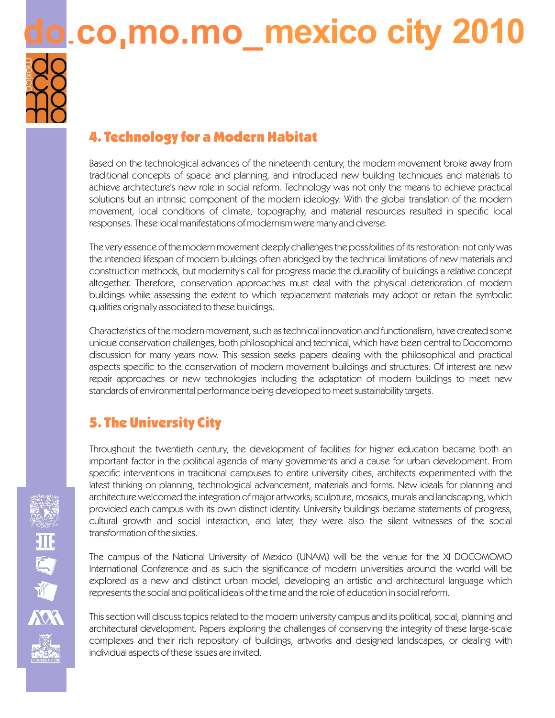## **d.co.mo.mo\_mexico city 2010**



## 4. Technology for a Modern Habitat

Based on the technological advances of the nineteenth century, the modern movement broke away from traditional concepts of space and planning, and introduced new building techniques and materials to achieve architecture's new role in social reform. Technology was not only the means to achieve practical solutions but an intrinsic component of the modern ideology. With the global translation of the modern movement, local conditions of climate, topography, and material resources resulted in specific local responses. These local manifestations of modernism were many and diverse.

The very essence of the modern movement deeply challenges the possibilities of its restoration: not only was the intended lifespan of modern buildings often abridged by the technical limitations of new materials and construction methods, but modernity's call for progress made the durability of buildings a relative concept altogether. Therefore, conservation approaches must deal with the physical deterioration of modern buildings while assessing the extent to which replacement materials may adopt or retain the symbolic qualities originally associated to these buildings.

Characteristics of the modern movement, such as technical innovation and functionalism, have created some unique conservation challenges, both philosophical and technical, which have been central to Docomomo discussion for many years now. This session seeks papers dealing with the philosophical and practical aspects specific to the conservation of modern movement buildings and structures. Of interest are new repair approaches or new technologies including the adaptation of modern buildings to meet new standards of environmental performance being developed to meet sustainability targets.

## 5. The University City

Throughout the twentieth century, the development of facilities for higher education became both an important factor in the political agenda of many governments and a cause for urban development. From specific interventions in traditional campuses to entire university cities, architects experimented with the latest thinking on planning, technological advancement, materials and forms. New ideals for planning and architecture welcomed the integration of major artworks; sculpture, mosaics, murals and landscaping, which provided each campus with its own distinct identity. University buildings became statements of progress, cultural growth and social interaction, and later, they were also the silent witnesses of the social transformation of the sixties.

The campus of the National University of Mexico (UNAM) will be the venue for the XI DOCOMOMO International Conference and as such the significance of modern universities around the world will be explored as a new and distinct urban model, developing an artistic and architectural language which represents the social and political ideals of the time and the role of education in social reform.

This section will discuss topics related to the modern university campus and its political, social, planning and architectural development. Papers exploring the challenges of conserving the integrity of these large-scale complexes and their rich repository of buildings, artworks and designed landscapes, or dealing with individual aspects of these issues are invited.